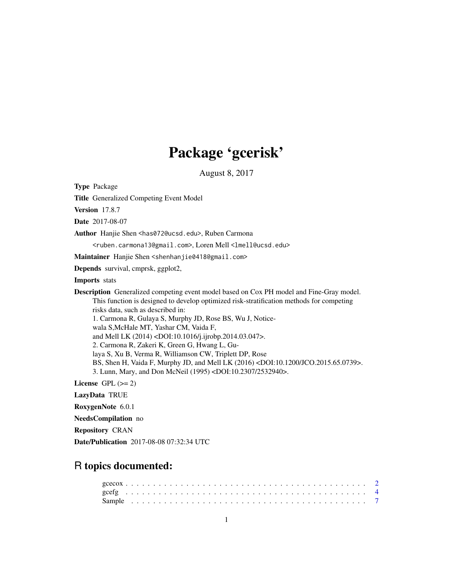## Package 'gcerisk'

August 8, 2017

Type Package

Title Generalized Competing Event Model

Version 17.8.7

Date 2017-08-07

Author Hanjie Shen <has072@ucsd.edu>, Ruben Carmona

<ruben.carmona13@gmail.com>, Loren Mell <lmell@ucsd.edu>

Maintainer Hanjie Shen <shenhanjie0418@gmail.com>

Depends survival, cmprsk, ggplot2,

Imports stats

Description Generalized competing event model based on Cox PH model and Fine-Gray model. This function is designed to develop optimized risk-stratification methods for competing risks data, such as described in: 1. Carmona R, Gulaya S, Murphy JD, Rose BS, Wu J, Noticewala S,McHale MT, Yashar CM, Vaida F, and Mell LK (2014) <DOI:10.1016/j.ijrobp.2014.03.047>. 2. Carmona R, Zakeri K, Green G, Hwang L, Gulaya S, Xu B, Verma R, Williamson CW, Triplett DP, Rose BS, Shen H, Vaida F, Murphy JD, and Mell LK (2016) <DOI:10.1200/JCO.2015.65.0739>. 3. Lunn, Mary, and Don McNeil (1995) <DOI:10.2307/2532940>.

License GPL  $(>= 2)$ 

LazyData TRUE

RoxygenNote 6.0.1

NeedsCompilation no

Repository CRAN

Date/Publication 2017-08-08 07:32:34 UTC

### R topics documented: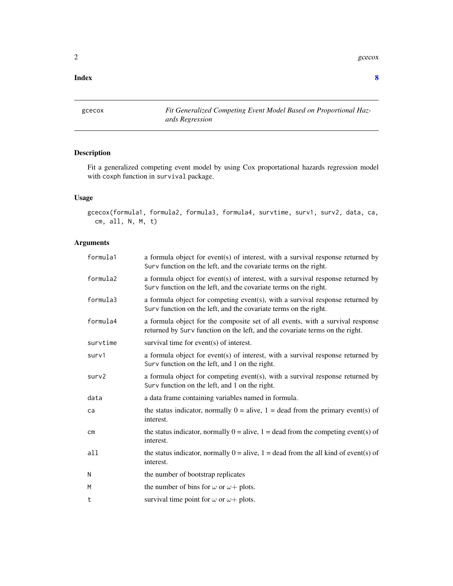$2 \cos \theta$  gcecox

#### **Index** [8](#page-7-0) **8**

gcecox *Fit Generalized Competing Event Model Based on Proportional Hazards Regression*

#### Description

Fit a generalized competing event model by using Cox proportational hazards regression model with coxph function in survival package.

#### Usage

gcecox(formula1, formula2, formula3, formula4, survtime, surv1, surv2, data, ca, cm, all, N, M, t)

#### Arguments

| formula1      | a formula object for event(s) of interest, with a survival response returned by<br>Surv function on the left, and the covariate terms on the right.            |
|---------------|----------------------------------------------------------------------------------------------------------------------------------------------------------------|
| formula2      | a formula object for event(s) of interest, with a survival response returned by<br>Surv function on the left, and the covariate terms on the right.            |
| formula3      | a formula object for competing event(s), with a survival response returned by<br>Surv function on the left, and the covariate terms on the right.              |
| formula4      | a formula object for the composite set of all events, with a survival response<br>returned by Surv function on the left, and the covariate terms on the right. |
| survtime      | survival time for event(s) of interest.                                                                                                                        |
| surv1         | a formula object for event(s) of interest, with a survival response returned by<br>Surv function on the left, and 1 on the right.                              |
| surv2         | a formula object for competing event(s), with a survival response returned by<br>Surv function on the left, and 1 on the right.                                |
| data          | a data frame containing variables named in formula.                                                                                                            |
| ca            | the status indicator, normally $0 =$ alive, $1 =$ dead from the primary event(s) of<br>interest.                                                               |
| $\mathsf{cm}$ | the status indicator, normally $0 =$ alive, $1 =$ dead from the competing event(s) of<br>interest.                                                             |
| all           | the status indicator, normally $0 =$ alive, $1 =$ dead from the all kind of event(s) of<br>interest.                                                           |
| N             | the number of bootstrap replicates                                                                                                                             |
| M             | the number of bins for $\omega$ or $\omega$ + plots.                                                                                                           |
| t             | survival time point for $\omega$ or $\omega$ + plots.                                                                                                          |

<span id="page-1-0"></span>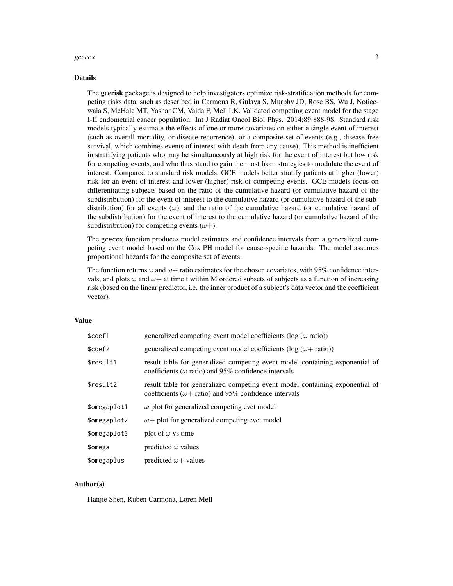#### $\frac{gceccx}{3}$

#### Details

The gcerisk package is designed to help investigators optimize risk-stratification methods for competing risks data, such as described in Carmona R, Gulaya S, Murphy JD, Rose BS, Wu J, Noticewala S, McHale MT, Yashar CM, Vaida F, Mell LK. Validated competing event model for the stage I-II endometrial cancer population. Int J Radiat Oncol Biol Phys. 2014;89:888-98. Standard risk models typically estimate the effects of one or more covariates on either a single event of interest (such as overall mortality, or disease recurrence), or a composite set of events (e.g., disease-free survival, which combines events of interest with death from any cause). This method is inefficient in stratifying patients who may be simultaneously at high risk for the event of interest but low risk for competing events, and who thus stand to gain the most from strategies to modulate the event of interest. Compared to standard risk models, GCE models better stratify patients at higher (lower) risk for an event of interest and lower (higher) risk of competing events. GCE models focus on differentiating subjects based on the ratio of the cumulative hazard (or cumulative hazard of the subdistribution) for the event of interest to the cumulative hazard (or cumulative hazard of the subdistribution) for all events  $(\omega)$ , and the ratio of the cumulative hazard (or cumulative hazard of the subdistribution) for the event of interest to the cumulative hazard (or cumulative hazard of the subdistribution) for competing events  $(\omega +)$ .

The gcecox function produces model estimates and confidence intervals from a generalized competing event model based on the Cox PH model for cause-specific hazards. The model assumes proportional hazards for the composite set of events.

The function returns  $\omega$  and  $\omega$  + ratio estimates for the chosen covariates, with 95% confidence intervals, and plots  $\omega$  and  $\omega+$  at time t within M ordered subsets of subjects as a function of increasing risk (based on the linear predictor, i.e. the inner product of a subject's data vector and the coefficient vector).

#### Value

| result table for generalized competing event model containing exponential of |
|------------------------------------------------------------------------------|
| result table for generalized competing event model containing exponential of |
|                                                                              |
|                                                                              |
|                                                                              |
|                                                                              |
|                                                                              |
|                                                                              |

#### Author(s)

Hanjie Shen, Ruben Carmona, Loren Mell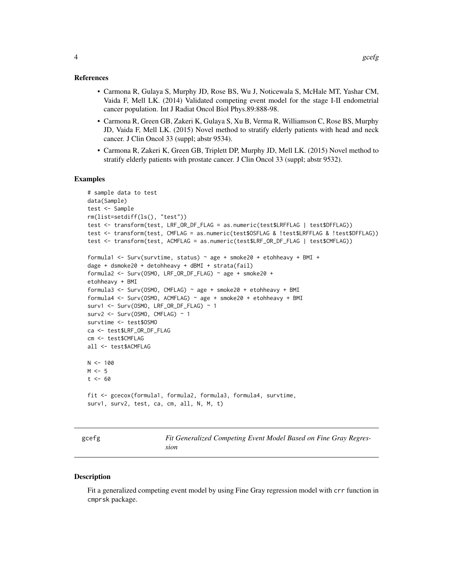#### <span id="page-3-0"></span>References

- Carmona R, Gulaya S, Murphy JD, Rose BS, Wu J, Noticewala S, McHale MT, Yashar CM, Vaida F, Mell LK. (2014) Validated competing event model for the stage I-II endometrial cancer population. Int J Radiat Oncol Biol Phys.89:888-98.
- Carmona R, Green GB, Zakeri K, Gulaya S, Xu B, Verma R, Williamson C, Rose BS, Murphy JD, Vaida F, Mell LK. (2015) Novel method to stratify elderly patients with head and neck cancer. J Clin Oncol 33 (suppl; abstr 9534).
- Carmona R, Zakeri K, Green GB, Triplett DP, Murphy JD, Mell LK. (2015) Novel method to stratify elderly patients with prostate cancer. J Clin Oncol 33 (suppl; abstr 9532).

#### Examples

```
# sample data to test
data(Sample)
test <- Sample
rm(list=setdiff(ls(), "test"))
test <- transform(test, LRF_OR_DF_FLAG = as.numeric(test$LRFFLAG | test$DFFLAG))
test <- transform(test, CMFLAG = as.numeric(test$OSFLAG & !test$LRFFLAG & !test$DFFLAG))
test <- transform(test, ACMFLAG = as.numeric(test$LRF_OR_DF_FLAG | test$CMFLAG))
formula1 <- Surv(survtime, status) \sim age + smoke20 + etohheavy + BMI +
dage + dsmoke20 + detohheavy + dBMI + strata(fail)
formula2 <- Surv(OSMO, LRF_OR_DF_FLAG) \sim age + smoke20 +
etohheavy + BMI
formula3 <- Surv(OSMO, CMFLAG) ~ age + smoke20 + etohheavy + BMI
formula4 <- Surv(OSMO, ACMFLAG) ~ age + smoke20 + etohheavy + BMI
surv1 <- Surv(OSMO, LRF_OR_DF_FLAG) ~ 1
surv2 <- Surv(0SM0, CMFLAG) \sim 1
survtime <- test$OSMO
ca <- test$LRF_OR_DF_FLAG
cm <- test$CMFLAG
all <- test$ACMFLAG
N < - 100M < -5t < -60fit <- gcecox(formula1, formula2, formula3, formula4, survtime,
surv1, surv2, test, ca, cm, all, N, M, t)
```

|--|--|

Fit Generalized Competing Event Model Based on Fine Gray Regres*sion*

#### Description

Fit a generalized competing event model by using Fine Gray regression model with crr function in cmprsk package.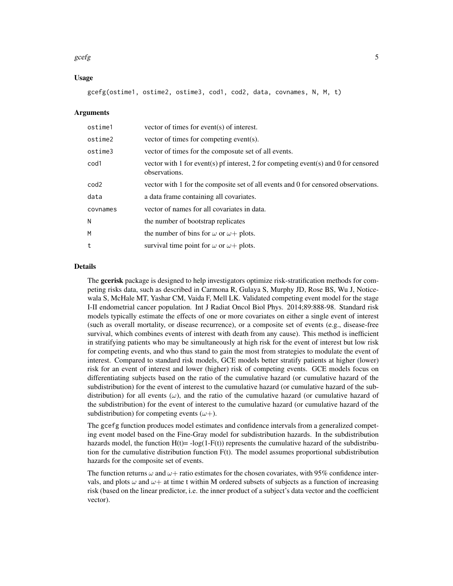#### $\chi$  gcefg  $\sim$  5

#### Usage

gcefg(ostime1, ostime2, ostime3, cod1, cod2, data, covnames, N, M, t)

#### Arguments

| ostime1          | vector of times for event(s) of interest.                                                            |
|------------------|------------------------------------------------------------------------------------------------------|
| ostime2          | vector of times for competing event(s).                                                              |
| ostime3          | vector of times for the composute set of all events.                                                 |
| cod1             | vector with 1 for event(s) pf interest, 2 for competing event(s) and 0 for censored<br>observations. |
| cod <sub>2</sub> | vector with 1 for the composite set of all events and 0 for censored observations.                   |
| data             | a data frame containing all covariates.                                                              |
| covnames         | vector of names for all covariates in data.                                                          |
| N                | the number of bootstrap replicates                                                                   |
| M                | the number of bins for $\omega$ or $\omega$ + plots.                                                 |
| t                | survival time point for $\omega$ or $\omega$ + plots.                                                |
|                  |                                                                                                      |

#### Details

The gcerisk package is designed to help investigators optimize risk-stratification methods for competing risks data, such as described in Carmona R, Gulaya S, Murphy JD, Rose BS, Wu J, Noticewala S, McHale MT, Yashar CM, Vaida F, Mell LK. Validated competing event model for the stage I-II endometrial cancer population. Int J Radiat Oncol Biol Phys. 2014;89:888-98. Standard risk models typically estimate the effects of one or more covariates on either a single event of interest (such as overall mortality, or disease recurrence), or a composite set of events (e.g., disease-free survival, which combines events of interest with death from any cause). This method is inefficient in stratifying patients who may be simultaneously at high risk for the event of interest but low risk for competing events, and who thus stand to gain the most from strategies to modulate the event of interest. Compared to standard risk models, GCE models better stratify patients at higher (lower) risk for an event of interest and lower (higher) risk of competing events. GCE models focus on differentiating subjects based on the ratio of the cumulative hazard (or cumulative hazard of the subdistribution) for the event of interest to the cumulative hazard (or cumulative hazard of the subdistribution) for all events ( $\omega$ ), and the ratio of the cumulative hazard (or cumulative hazard of the subdistribution) for the event of interest to the cumulative hazard (or cumulative hazard of the subdistribution) for competing events  $(\omega +)$ .

The gcefg function produces model estimates and confidence intervals from a generalized competing event model based on the Fine-Gray model for subdistribution hazards. In the subdistribution hazards model, the function  $H(t) = -\log(1-F(t))$  represents the cumulative hazard of the subdistribution for the cumulative distribution function  $F(t)$ . The model assumes proportional subdistribution hazards for the composite set of events.

The function returns  $\omega$  and  $\omega$  + ratio estimates for the chosen covariates, with 95% confidence intervals, and plots  $\omega$  and  $\omega+$  at time t within M ordered subsets of subjects as a function of increasing risk (based on the linear predictor, i.e. the inner product of a subject's data vector and the coefficient vector).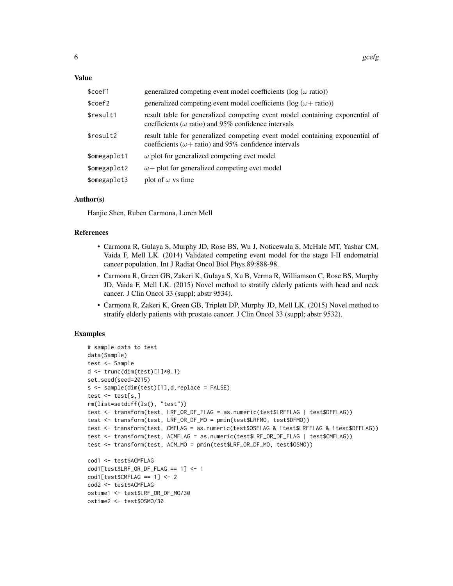#### Value

| \$coef1      | generalized competing event model coefficients ( $log(\omega \text{ ratio})$ )                                                                |
|--------------|-----------------------------------------------------------------------------------------------------------------------------------------------|
| \$coef2      | generalized competing event model coefficients ( $log (\omega + ratio)$ )                                                                     |
| \$result1    | result table for generalized competing event model containing exponential of<br>coefficients ( $\omega$ ratio) and 95% confidence intervals   |
| \$result2    | result table for generalized competing event model containing exponential of<br>coefficients ( $\omega$ + ratio) and 95% confidence intervals |
| \$omegaplot1 | $\omega$ plot for generalized competing evet model                                                                                            |
| \$omegaplot2 | $\omega$ + plot for generalized competing evet model                                                                                          |
| \$omegaplot3 | plot of $\omega$ vs time                                                                                                                      |

#### Author(s)

Hanjie Shen, Ruben Carmona, Loren Mell

#### References

- Carmona R, Gulaya S, Murphy JD, Rose BS, Wu J, Noticewala S, McHale MT, Yashar CM, Vaida F, Mell LK. (2014) Validated competing event model for the stage I-II endometrial cancer population. Int J Radiat Oncol Biol Phys.89:888-98.
- Carmona R, Green GB, Zakeri K, Gulaya S, Xu B, Verma R, Williamson C, Rose BS, Murphy JD, Vaida F, Mell LK. (2015) Novel method to stratify elderly patients with head and neck cancer. J Clin Oncol 33 (suppl; abstr 9534).
- Carmona R, Zakeri K, Green GB, Triplett DP, Murphy JD, Mell LK. (2015) Novel method to stratify elderly patients with prostate cancer. J Clin Oncol 33 (suppl; abstr 9532).

#### Examples

```
# sample data to test
data(Sample)
test <- Sample
d \leq trunc(dim(test)[1]*0.1)
set.seed(seed=2015)
s <- sample(dim(test)[1],d,replace = FALSE)
test \leq test[s,]
rm(list=setdiff(ls(), "test"))
test <- transform(test, LRF_OR_DF_FLAG = as.numeric(test$LRFFLAG | test$DFFLAG))
test <- transform(test, LRF_OR_DF_MO = pmin(test$LRFMO, test$DFMO))
test <- transform(test, CMFLAG = as.numeric(test$OSFLAG & !test$LRFFLAG & !test$DFFLAG))
test <- transform(test, ACMFLAG = as.numeric(test$LRF_OR_DF_FLAG | test$CMFLAG))
test <- transform(test, ACM_MO = pmin(test$LRF_OR_DF_MO, test$OSMO))
cod1 <- test$ACMFLAG
cod1[test$LRF_OR_DF_FLAG == 1] <- 1
cod1[test$CMFLAG == 1] < -2cod2 <- test$ACMFLAG
ostime1 <- test$LRF_OR_DF_MO/30
ostime2 <- test$OSMO/30
```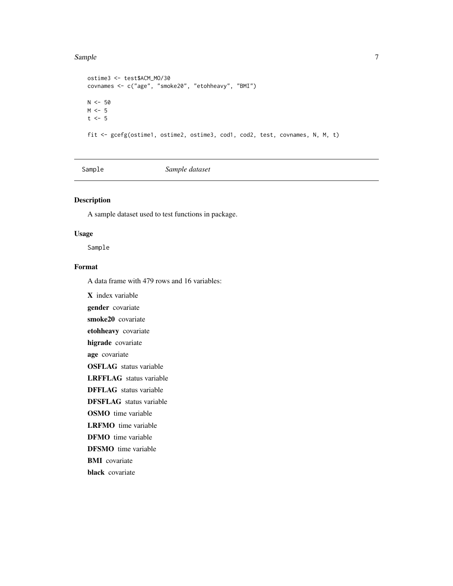#### <span id="page-6-0"></span>Sample 7

```
ostime3 <- test$ACM_MO/30
covnames <- c("age", "smoke20", "etohheavy", "BMI")
N < -50M < -5t \leq -5fit <- gcefg(ostime1, ostime2, ostime3, cod1, cod2, test, covnames, N, M, t)
```
Sample *Sample dataset*

#### Description

A sample dataset used to test functions in package.

#### Usage

Sample

#### Format

A data frame with 479 rows and 16 variables:

X index variable gender covariate smoke20 covariate etohheavy covariate higrade covariate age covariate OSFLAG status variable LRFFLAG status variable DFFLAG status variable DFSFLAG status variable OSMO time variable LRFMO time variable DFMO time variable DFSMO time variable BMI covariate

black covariate